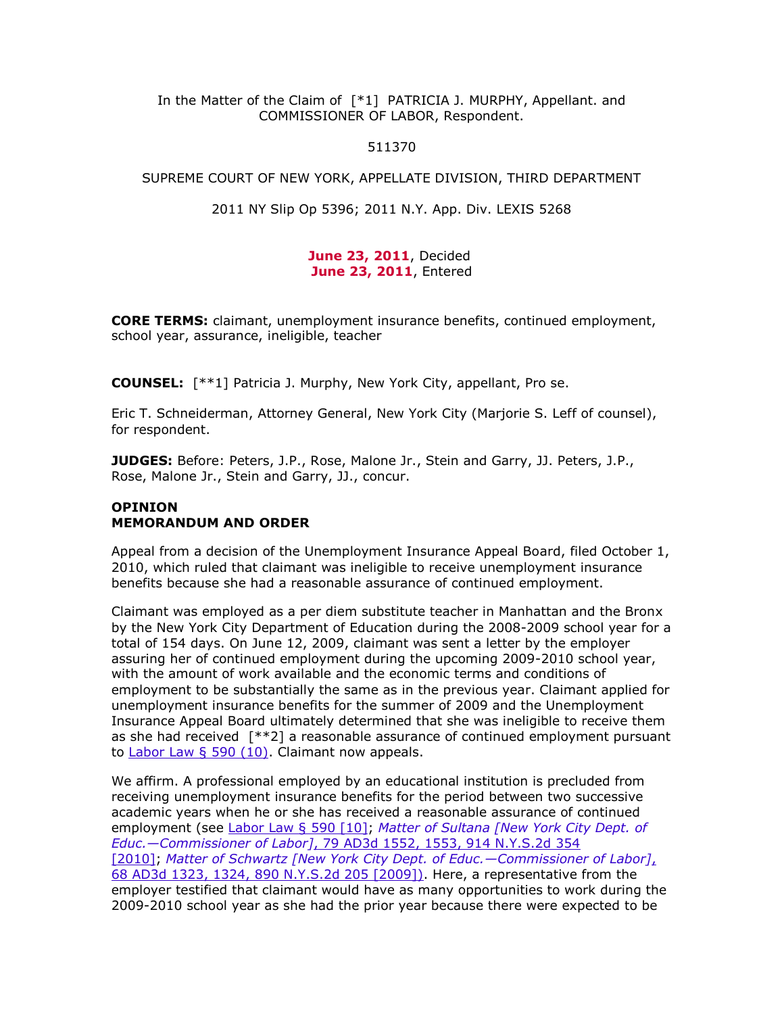## In the Matter of the Claim of  $[*1]$  PATRICIA J. MURPHY, Appellant. and COMMISSIONER OF LABOR, Respondent.

#### 511370

#### SUPREME COURT OF NEW YORK, APPELLATE DIVISION, THIRD DEPARTMENT

#### 2011 NY Slip Op 5396; 2011 N.Y. App. Div. LEXIS 5268

## **June 23, 2011**, Decided **June 23, 2011**, Entered

**CORE TERMS:** claimant, unemployment insurance benefits, continued employment, school year, assurance, ineligible, teacher

**COUNSEL:** [\*\*1] Patricia J. Murphy, New York City, appellant, Pro se.

Eric T. Schneiderman, Attorney General, New York City (Marjorie S. Leff of counsel), for respondent.

**JUDGES:** Before: Peters, J.P., Rose, Malone Jr., Stein and Garry, JJ. Peters, J.P., Rose, Malone Jr., Stein and Garry, JJ., concur.

# **OPINION MEMORANDUM AND ORDER**

Appeal from a decision of the Unemployment Insurance Appeal Board, filed October 1, 2010, which ruled that claimant was ineligible to receive unemployment insurance benefits because she had a reasonable assurance of continued employment.

Claimant was employed as a per diem substitute teacher in Manhattan and the Bronx by the New York City Department of Education during the 2008-2009 school year for a total of 154 days. On June 12, 2009, claimant was sent a letter by the employer assuring her of continued employment during the upcoming 2009-2010 school year, with the amount of work available and the economic terms and conditions of employment to be substantially the same as in the previous year. Claimant applied for unemployment insurance benefits for the summer of 2009 and the Unemployment Insurance Appeal Board ultimately determined that she was ineligible to receive them as she had received  $[**2]$  a reasonable assurance of continued employment pursuant to [Labor Law § 590 \(10\).](http://www.lexisnexis.com.ezproxy.strose.edu/lnacui2api/mungo/lexseestat.do?bct=A&risb=21_T12238853250&homeCsi=9092&A=0.787406542192903&urlEnc=ISO-8859-1&&citeString=N.Y.%20LAB.%20LAW%20590&countryCode=USA) Claimant now appeals.

We affirm. A professional employed by an educational institution is precluded from receiving unemployment insurance benefits for the period between two successive academic years when he or she has received a reasonable assurance of continued employment (see [Labor Law § 590 \[10\];](http://www.lexisnexis.com.ezproxy.strose.edu/lnacui2api/mungo/lexseestat.do?bct=A&risb=21_T12238853250&homeCsi=9092&A=0.787406542192903&urlEnc=ISO-8859-1&&citeString=N.Y.%20LAB.%20LAW%20590&countryCode=USA) *[Matter of Sultana \[New York City Dept. of](http://www.lexisnexis.com.ezproxy.strose.edu/lnacui2api/mungo/lexseestat.do?bct=A&risb=21_T12238853250&homeCsi=9092&A=0.787406542192903&urlEnc=ISO-8859-1&&citeString=79%20A.D.3d%201552,%201553&countryCode=USA)  Educ.—Commissioner of Labor]*[, 79 AD3d 1552, 1553, 914 N.Y.S.2d 354](http://www.lexisnexis.com.ezproxy.strose.edu/lnacui2api/mungo/lexseestat.do?bct=A&risb=21_T12238853250&homeCsi=9092&A=0.787406542192903&urlEnc=ISO-8859-1&&citeString=79%20A.D.3d%201552,%201553&countryCode=USA)  [\[2010\];](http://www.lexisnexis.com.ezproxy.strose.edu/lnacui2api/mungo/lexseestat.do?bct=A&risb=21_T12238853250&homeCsi=9092&A=0.787406542192903&urlEnc=ISO-8859-1&&citeString=79%20A.D.3d%201552,%201553&countryCode=USA) *[Matter of Schwartz \[New York City Dept. of Educ.](http://www.lexisnexis.com.ezproxy.strose.edu/lnacui2api/mungo/lexseestat.do?bct=A&risb=21_T12238853250&homeCsi=9092&A=0.787406542192903&urlEnc=ISO-8859-1&&citeString=68%20A.D.3d%201323,%201324&countryCode=USA)—Commissioner of Labor]*, [68 AD3d 1323, 1324, 890 N.Y.S.2d 205 \[2009\]\).](http://www.lexisnexis.com.ezproxy.strose.edu/lnacui2api/mungo/lexseestat.do?bct=A&risb=21_T12238853250&homeCsi=9092&A=0.787406542192903&urlEnc=ISO-8859-1&&citeString=68%20A.D.3d%201323,%201324&countryCode=USA) Here, a representative from the employer testified that claimant would have as many opportunities to work during the 2009-2010 school year as she had the prior year because there were expected to be